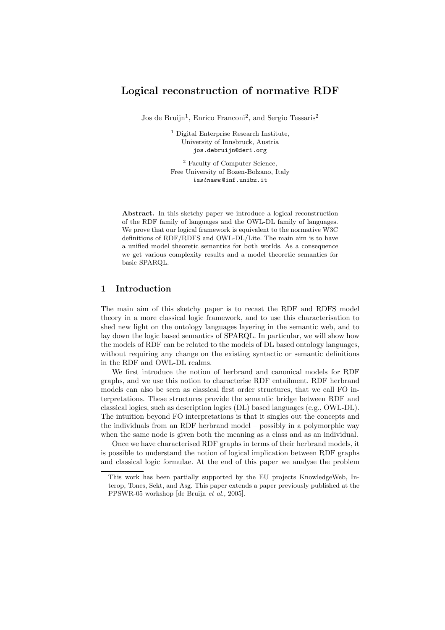# Logical reconstruction of normative RDF

Jos de Bruijn<sup>1</sup>, Enrico Franconi<sup>2</sup>, and Sergio Tessaris<sup>2</sup>

<sup>1</sup> Digital Enterprise Research Institute, University of Innsbruck, Austria jos.debruijn@deri.org

<sup>2</sup> Faculty of Computer Science, Free University of Bozen-Bolzano, Italy lastname @inf.unibz.it

Abstract. In this sketchy paper we introduce a logical reconstruction of the RDF family of languages and the OWL-DL family of languages. We prove that our logical framework is equivalent to the normative W3C definitions of RDF/RDFS and OWL-DL/Lite. The main aim is to have a unified model theoretic semantics for both worlds. As a consequence we get various complexity results and a model theoretic semantics for basic SPARQL.

## 1 Introduction

The main aim of this sketchy paper is to recast the RDF and RDFS model theory in a more classical logic framework, and to use this characterisation to shed new light on the ontology languages layering in the semantic web, and to lay down the logic based semantics of SPARQL. In particular, we will show how the models of RDF can be related to the models of DL based ontology languages, without requiring any change on the existing syntactic or semantic definitions in the RDF and OWL-DL realms.

We first introduce the notion of herbrand and canonical models for RDF graphs, and we use this notion to characterise RDF entailment. RDF herbrand models can also be seen as classical first order structures, that we call FO interpretations. These structures provide the semantic bridge between RDF and classical logics, such as description logics (DL) based languages (e.g., OWL-DL). The intuition beyond FO interpretations is that it singles out the concepts and the individuals from an RDF herbrand model – possibly in a polymorphic way when the same node is given both the meaning as a class and as an individual.

Once we have characterised RDF graphs in terms of their herbrand models, it is possible to understand the notion of logical implication between RDF graphs and classical logic formulae. At the end of this paper we analyse the problem

This work has been partially supported by the EU projects KnowledgeWeb, Interop, Tones, Sekt, and Asg. This paper extends a paper previously published at the PPSWR-05 workshop [de Bruijn et al., 2005].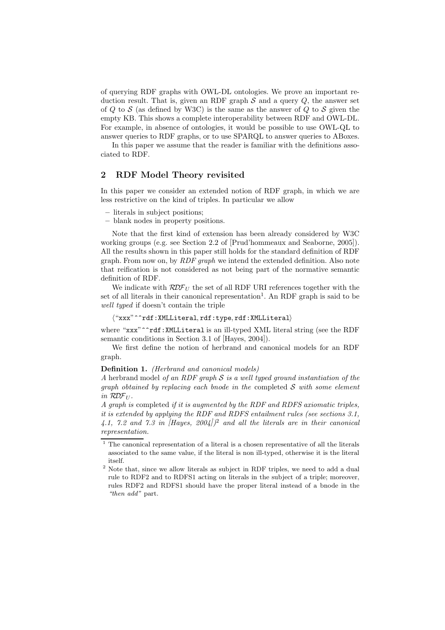of querying RDF graphs with OWL-DL ontologies. We prove an important reduction result. That is, given an RDF graph  $S$  and a query  $Q$ , the answer set of  $Q$  to  $S$  (as defined by W3C) is the same as the answer of  $Q$  to  $S$  given the empty KB. This shows a complete interoperability between RDF and OWL-DL. For example, in absence of ontologies, it would be possible to use OWL-QL to answer queries to RDF graphs, or to use SPARQL to answer queries to ABoxes.

In this paper we assume that the reader is familiar with the definitions associated to RDF.

## 2 RDF Model Theory revisited

In this paper we consider an extended notion of RDF graph, in which we are less restrictive on the kind of triples. In particular we allow

- literals in subject positions;
- blank nodes in property positions.

Note that the first kind of extension has been already considered by W3C working groups (e.g. see Section 2.2 of [Prud'hommeaux and Seaborne, 2005]). All the results shown in this paper still holds for the standard definition of RDF graph. From now on, by  $RDF$  graph we intend the extended definition. Also note that reification is not considered as not being part of the normative semantic definition of RDF.

We indicate with  $RDF_U$  the set of all RDF URI references together with the set of all literals in their canonical representation<sup>1</sup>. An RDF graph is said to be well typed if doesn't contain the triple

```
\langle"xxx"^^rdf:XMLLiteral, rdf:type, rdf:XMLLiteral)
```
where "xxx"<sup>o</sup>rdf:XMLLiteral is an ill-typed XML literal string (see the RDF semantic conditions in Section 3.1 of [Hayes, 2004]).

We first define the notion of herbrand and canonical models for an RDF graph.

#### Definition 1. (Herbrand and canonical models)

A herbrand model of an RDF graph  $S$  is a well typed ground instantiation of the graph obtained by replacing each bnode in the completed  $S$  with some element in  $\mathcal{RDF}_U$ .

A graph is completed if it is augmented by the RDF and RDFS axiomatic triples, it is extended by applying the RDF and RDFS entailment rules (see sections 3.1, 4.1, 7.2 and 7.3 in  $[Hayes, 2004])^2$  and all the literals are in their canonical representation.

 $1$  The canonical representation of a literal is a chosen representative of all the literals associated to the same value, if the literal is non ill-typed, otherwise it is the literal itself.

<sup>&</sup>lt;sup>2</sup> Note that, since we allow literals as subject in RDF triples, we need to add a dual rule to RDF2 and to RDFS1 acting on literals in the subject of a triple; moreover, rules RDF2 and RDFS1 should have the proper literal instead of a bnode in the "then add" part.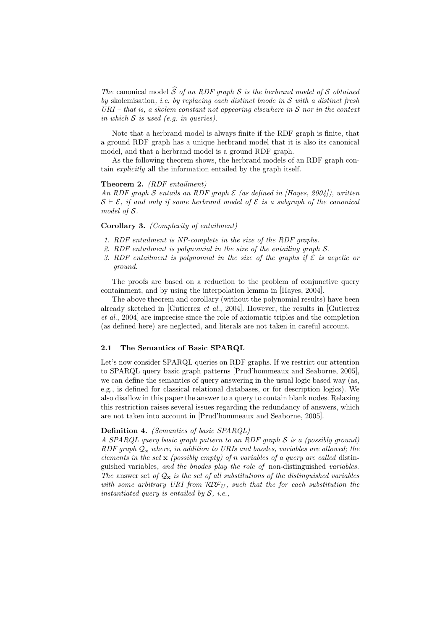The canonical model  $\hat{S}$  of an RDF graph S is the herbrand model of S obtained by skolemisation, *i.e.* by replacing each distinct bnode in  $S$  with a distinct fresh  $URI - that$  is, a skolem constant not appearing elsewhere in S nor in the context in which  $S$  is used (e.g. in queries).

Note that a herbrand model is always finite if the RDF graph is finite, that a ground RDF graph has a unique herbrand model that it is also its canonical model, and that a herbrand model is a ground RDF graph.

As the following theorem shows, the herbrand models of an RDF graph contain explicitly all the information entailed by the graph itself.

### Theorem 2. (RDF entailment)

An RDF graph S entails an RDF graph  $\mathcal E$  (as defined in *Hayes, 2004*), written  $S \vdash \mathcal{E}$ , if and only if some herbrand model of  $\mathcal{E}$  is a subgraph of the canonical model of S.

## Corollary 3. (Complexity of entailment)

- 1. RDF entailment is NP-complete in the size of the RDF graphs.
- 2. RDF entailment is polynomial in the size of the entailing graph S.
- 3. RDF entailment is polynomial in the size of the graphs if  $\mathcal E$  is acyclic or ground.

The proofs are based on a reduction to the problem of conjunctive query containment, and by using the interpolation lemma in [Hayes, 2004].

The above theorem and corollary (without the polynomial results) have been already sketched in [Gutierrez *et al.*, 2004]. However, the results in [Gutierrez et al., 2004] are imprecise since the role of axiomatic triples and the completion (as defined here) are neglected, and literals are not taken in careful account.

### 2.1 The Semantics of Basic SPARQL

Let's now consider SPARQL queries on RDF graphs. If we restrict our attention to SPARQL query basic graph patterns [Prud'hommeaux and Seaborne, 2005], we can define the semantics of query answering in the usual logic based way (as, e.g., is defined for classical relational databases, or for description logics). We also disallow in this paper the answer to a query to contain blank nodes. Relaxing this restriction raises several issues regarding the redundancy of answers, which are not taken into account in [Prud'hommeaux and Seaborne, 2005].

## Definition 4. (Semantics of basic SPARQL)

A SPARQL query basic graph pattern to an RDF graph S is a (possibly ground) RDF graph  $Q_x$  where, in addition to URIs and bnodes, variables are allowed; the elements in the set  $x$  (possibly empty) of n variables of a query are called distinguished variables, and the bnodes play the role of non-distinguished variables. The answer set of  $\mathcal{Q}_x$  is the set of all substitutions of the distinguished variables with some arbitrary URI from  $RDF_U$ , such that the for each substitution the instantiated query is entailed by  $S$ , *i.e.*,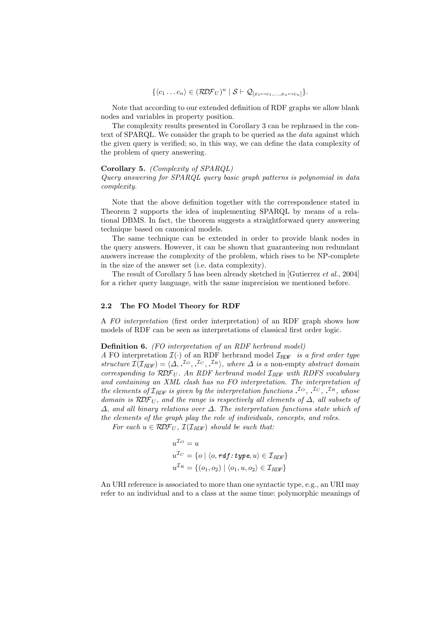$$
\{\langle c_1 \ldots c_n \rangle \in (\mathcal{RDF}_U)^n \mid \mathcal{S} \vdash \mathcal{Q}_{[x_1 \mapsto c_1, \ldots, x_n \mapsto c_n]}\}.
$$

Note that according to our extended definition of RDF graphs we allow blank nodes and variables in property position.

The complexity results presented in Corollary 3 can be rephrased in the context of SPARQL. We consider the graph to be queried as the *data* against which the given query is verified; so, in this way, we can define the data complexity of the problem of query answering.

### Corollary 5. (Complexity of SPARQL)

Query answering for SPARQL query basic graph patterns is polynomial in data complexity.

Note that the above definition together with the correspondence stated in Theorem 2 supports the idea of implementing SPARQL by means of a relational DBMS. In fact, the theorem suggests a straightforward query answering technique based on canonical models.

The same technique can be extended in order to provide blank nodes in the query answers. However, it can be shown that guaranteeing non redundant answers increase the complexity of the problem, which rises to be NP-complete in the size of the answer set (i.e. data complexity).

The result of Corollary 5 has been already sketched in [Gutierrez et al., 2004] for a richer query language, with the same imprecision we mentioned before.

### 2.2 The FO Model Theory for RDF

A FO interpretation (first order interpretation) of an RDF graph shows how models of RDF can be seen as interpretations of classical first order logic.

#### Definition 6. (FO interpretation of an RDF herbrand model)

A FO interpretation  $\mathcal{I}(\cdot)$  of an RDF herbrand model  $\mathcal{I}_{RDF}$  is a first order type structure  $\mathcal{I}(\mathcal{I}_{RDF}) = \langle \Delta, \Delta^{I_O}, \Delta^{I_C}, \Delta^{I_R} \rangle$ , where  $\Delta$  is a non-empty abstract domain corresponding to  $RDF_U$ . An RDF herbrand model  $\mathcal{I}_{RDF}$  with RDFS vocabulary and containing an XML clash has no FO interpretation. The interpretation of the elements of  $\mathcal{I}_{RDF}$  is given by the interpretation functions  $\mathcal{I}_{O}$ ,  $\mathcal{I}_{C}$ ,  $\mathcal{I}_{R}$ , whose domain is RDF<sub>U</sub>, and the range is respectively all elements of  $\Delta$ , all subsets of  $\Delta$ , and all binary relations over  $\Delta$ . The interpretation functions state which of the elements of the graph play the role of individuals, concepts, and roles.

For each  $u \in \mathcal{RDF}_U$ ,  $\mathcal{I}(\mathcal{I}_{RDF})$  should be such that:

$$
u^{\mathcal{I}_O} = u
$$
  
\n
$$
u^{\mathcal{I}_C} = \{ o \mid \langle o, \mathit{rdf:type}, u \rangle \in \mathcal{I}_{RDF} \}
$$
  
\n
$$
u^{\mathcal{I}_R} = \{ (o_1, o_2) \mid \langle o_1, u, o_2 \rangle \in \mathcal{I}_{RDF} \}
$$

An URI reference is associated to more than one syntactic type, e.g., an URI may refer to an individual and to a class at the same time: polymorphic meanings of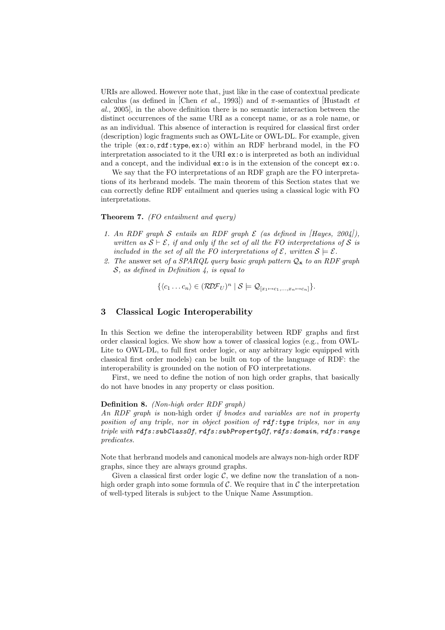URIs are allowed. However note that, just like in the case of contextual predicate calculus (as defined in [Chen *et al.*, 1993]) and of  $\pi$ -semantics of Hustadt *et* al., 2005], in the above definition there is no semantic interaction between the distinct occurrences of the same URI as a concept name, or as a role name, or as an individual. This absence of interaction is required for classical first order (description) logic fragments such as OWL-Lite or OWL-DL. For example, given the triple  $\langle ex: o, rdf:type, ex:o \rangle$  within an RDF herbrand model, in the FO interpretation associated to it the URI ex:o is interpreted as both an individual and a concept, and the individual ex:o is in the extension of the concept ex:o.

We say that the FO interpretations of an RDF graph are the FO interpretations of its herbrand models. The main theorem of this Section states that we can correctly define RDF entailment and queries using a classical logic with FO interpretations.

## Theorem 7. (FO entailment and query)

- 1. An RDF graph S entails an RDF graph  $\mathcal E$  (as defined in [Hayes, 2004]), written as  $S \vdash \mathcal{E}$ , if and only if the set of all the FO interpretations of S is included in the set of all the FO interpretations of  $\mathcal{E}$ , written  $\mathcal{S} \models \mathcal{E}$ .
- 2. The answer set of a SPARQL query basic graph pattern  $Q_x$  to an RDF graph  $S$ , as defined in Definition 4, is equal to

$$
\{\langle c_1 \ldots c_n \rangle \in (\mathcal{RDF}_U)^n \mid \mathcal{S} \models \mathcal{Q}_{[x_1 \mapsto c_1, \ldots, x_n \mapsto c_n]} \}.
$$

## 3 Classical Logic Interoperability

In this Section we define the interoperability between RDF graphs and first order classical logics. We show how a tower of classical logics (e.g., from OWL-Lite to OWL-DL, to full first order logic, or any arbitrary logic equipped with classical first order models) can be built on top of the language of RDF: the interoperability is grounded on the notion of FO interpretations.

First, we need to define the notion of non high order graphs, that basically do not have bnodes in any property or class position.

### Definition 8. (Non-high order RDF graph)

An RDF graph is non-high order if bnodes and variables are not in property position of any triple, nor in object position of  $\textit{rdf:type}$  triples, nor in any triple with rdfs:subClassOf, rdfs:subPropertyOf, rdfs:domain, rdfs:range predicates.

Note that herbrand models and canonical models are always non-high order RDF graphs, since they are always ground graphs.

Given a classical first order logic  $C$ , we define now the translation of a nonhigh order graph into some formula of C. We require that in  $\mathcal C$  the interpretation of well-typed literals is subject to the Unique Name Assumption.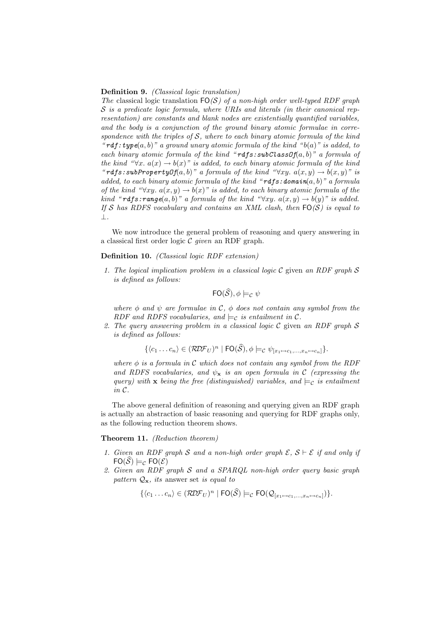#### Definition 9. *(Classical logic translation)*

The classical logic translation  $FO(S)$  of a non-high order well-typed RDF graph  $S$  is a predicate logic formula, where URIs and literals (in their canonical representation) are constants and blank nodes are existentially quantified variables, and the body is a conjunction of the ground binary atomic formulae in correspondence with the triples of S, where to each binary atomic formula of the kind "rdf:type $(a, b)$ " a ground unary atomic formula of the kind " $b(a)$ " is added, to each binary atomic formula of the kind "rdfs:  $\mathbf{subClassOf}(a, b)$ " a formula of the kind " $\forall x$ .  $a(x) \rightarrow b(x)$ " is added, to each binary atomic formula of the kind "rdfs:subPropertyOf(a,b)" a formula of the kind " $\forall xy.$   $a(x, y) \rightarrow b(x, y)$ " is added, to each binary atomic formula of the kind "rdfs: domain(a, b)" a formula of the kind " $\forall xy. a(x, y) \rightarrow b(x)$ " is added, to each binary atomic formula of the kind "rdfs:range(a, b)" a formula of the kind " $\forall xy.$   $a(x, y) \rightarrow b(y)$ " is added. If S has RDFS vocabulary and contains an XML clash, then  $FO(S)$  is equal to ⊥.

We now introduce the general problem of reasoning and query answering in a classical first order logic  $C$  given an RDF graph.

### Definition 10. (Classical logic RDF extension)

1. The logical implication problem in a classical logic  $\mathcal C$  given an RDF graph  $\mathcal S$ is defined as follows:

$$
\mathsf{FO}(\widehat{\mathcal{S}}), \phi \models_{\mathcal{C}} \psi
$$

where  $\phi$  and  $\psi$  are formulae in C,  $\phi$  does not contain any symbol from the RDF and RDFS vocabularies, and  $\models_c$  is entailment in C.

2. The query answering problem in a classical logic C given an RDF graph  $S$ is defined as follows:

$$
\{\langle c_1 \ldots c_n \rangle \in (\mathcal{RDF}_U)^n \mid \mathsf{FO}(\widehat{\mathcal{S}}), \phi \models_{\mathcal{C}} \psi_{[x_1 \mapsto c_1, \ldots, x_n \mapsto c_n]} \}.
$$

where  $\phi$  is a formula in C which does not contain any symbol from the RDF and RDFS vocabularies, and  $\psi_{\mathbf{x}}$  is an open formula in C (expressing the query) with **x** being the free (distinguished) variables, and  $\models_c$  is entailment in C.

The above general definition of reasoning and querying given an RDF graph is actually an abstraction of basic reasoning and querying for RDF graphs only, as the following reduction theorem shows.

## Theorem 11. (Reduction theorem)

- 1. Given an RDF graph S and a non-high order graph  $\mathcal{E}, \mathcal{S} \vdash \mathcal{E}$  if and only if  $FO(\hat{S}) \models_{\mathcal{C}} FO(\mathcal{E})$
- 2. Given an RDF graph S and a SPARQL non-high order query basic graph pattern  $Q_{\mathbf{x}}$ , its answer set is equal to

$$
\{\langle c_1 \dots c_n \rangle \in (\mathcal{RDF}_U)^n \mid \mathsf{FO}(\widehat{\mathcal{S}}) \models_{\mathcal{C}} \mathsf{FO}(\mathcal{Q}_{[x_1 \mapsto c_1, \dots, x_n \mapsto c_n]})\}.
$$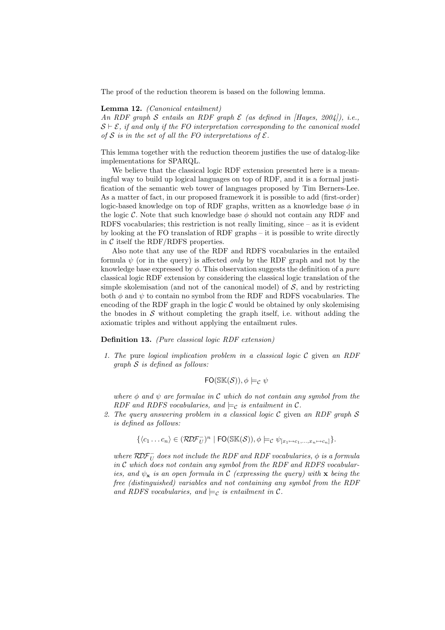The proof of the reduction theorem is based on the following lemma.

### Lemma 12. (Canonical entailment)

An RDF graph S entails an RDF graph  $\mathcal E$  (as defined in [Hayes, 2004]), i.e.,  $S \vdash \mathcal{E}$ , if and only if the FO interpretation corresponding to the canonical model of S is in the set of all the FO interpretations of  $\mathcal{E}$ .

This lemma together with the reduction theorem justifies the use of datalog-like implementations for SPARQL.

We believe that the classical logic RDF extension presented here is a meaningful way to build up logical languages on top of RDF, and it is a formal justification of the semantic web tower of languages proposed by Tim Berners-Lee. As a matter of fact, in our proposed framework it is possible to add (first-order) logic-based knowledge on top of RDF graphs, written as a knowledge base  $\phi$  in the logic C. Note that such knowledge base  $\phi$  should not contain any RDF and RDFS vocabularies; this restriction is not really limiting, since – as it is evident by looking at the FO translation of RDF graphs – it is possible to write directly in  $C$  itself the RDF/RDFS properties.

Also note that any use of the RDF and RDFS vocabularies in the entailed formula  $\psi$  (or in the query) is affected *only* by the RDF graph and not by the knowledge base expressed by  $\phi$ . This observation suggests the definition of a *pure* classical logic RDF extension by considering the classical logic translation of the simple skolemisation (and not of the canonical model) of  $S$ , and by restricting both  $\phi$  and  $\psi$  to contain no symbol from the RDF and RDFS vocabularies. The encoding of the RDF graph in the logic  $\mathcal C$  would be obtained by only skolemising the bnodes in  $S$  without completing the graph itself, i.e. without adding the axiomatic triples and without applying the entailment rules.

## Definition 13. (Pure classical logic RDF extension)

1. The pure logical implication problem in a classical logic  $C$  given an RDF  $graph S$  is defined as follows:

$$
\mathsf{FO}(\mathbb{SK}(\mathcal{S})), \phi \models_{\mathcal{C}} \psi
$$

where  $\phi$  and  $\psi$  are formulae in C which do not contain any symbol from the RDF and RDFS vocabularies, and  $\models_c$  is entailment in C.

2. The query answering problem in a classical logic  $\mathcal C$  given an RDF graph  $\mathcal S$ is defined as follows:

$$
\{\langle c_1...c_n\rangle \in (\mathcal{RDF}_U^-)^n \mid \mathsf{FO}(\mathbb{SK}(\mathcal{S})), \phi \models_{\mathcal{C}} \psi_{[x_1 \mapsto c_1,...,x_n \mapsto c_n]}\}.
$$

where  $\overline{\mathcal{RDF}}_{U}^{-1}$  does not include the RDF and RDF vocabularies,  $\phi$  is a formula in  $C$  which does not contain any symbol from the RDF and RDFS vocabularies, and  $\psi_{\mathbf{x}}$  is an open formula in C (expressing the query) with  $\mathbf{x}$  being the free (distinguished) variables and not containing any symbol from the RDF and RDFS vocabularies, and  $\models_c$  is entailment in C.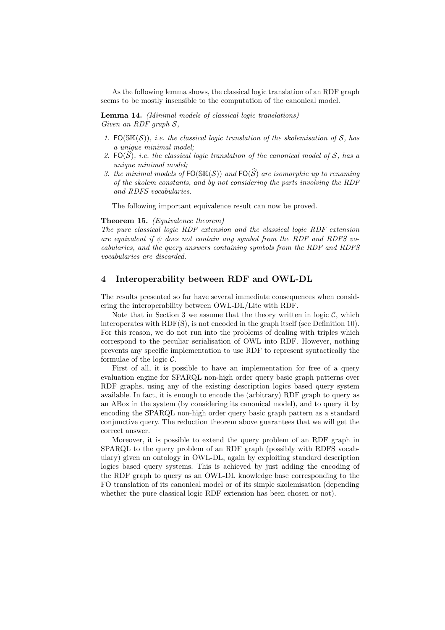As the following lemma shows, the classical logic translation of an RDF graph seems to be mostly insensible to the computation of the canonical model.

Lemma 14. (Minimal models of classical logic translations) Given an RDF graph  $S$ ,

- 1. FO( $\mathcal{S}(S)$ ), i.e. the classical logic translation of the skolemisation of S, has a unique minimal model;
- 2.  $FO(\widehat{S})$ , i.e. the classical logic translation of the canonical model of S, has a unique minimal model;
- 3. the minimal models of  $FO(SK(S))$  and  $FO(\widehat{S})$  are isomorphic up to renaming of the skolem constants, and by not considering the parts involving the RDF and RDFS vocabularies.

The following important equivalence result can now be proved.

### Theorem 15. (Equivalence theorem)

The pure classical logic RDF extension and the classical logic RDF extension are equivalent if  $\psi$  does not contain any symbol from the RDF and RDFS vocabularies, and the query answers containing symbols from the RDF and RDFS vocabularies are discarded.

## 4 Interoperability between RDF and OWL-DL

The results presented so far have several immediate consequences when considering the interoperability between OWL-DL/Lite with RDF.

Note that in Section 3 we assume that the theory written in logic  $C$ , which interoperates with RDF(S), is not encoded in the graph itself (see Definition 10). For this reason, we do not run into the problems of dealing with triples which correspond to the peculiar serialisation of OWL into RDF. However, nothing prevents any specific implementation to use RDF to represent syntactically the formulae of the logic  $C$ .

First of all, it is possible to have an implementation for free of a query evaluation engine for SPARQL non-high order query basic graph patterns over RDF graphs, using any of the existing description logics based query system available. In fact, it is enough to encode the (arbitrary) RDF graph to query as an ABox in the system (by considering its canonical model), and to query it by encoding the SPARQL non-high order query basic graph pattern as a standard conjunctive query. The reduction theorem above guarantees that we will get the correct answer.

Moreover, it is possible to extend the query problem of an RDF graph in SPARQL to the query problem of an RDF graph (possibly with RDFS vocabulary) given an ontology in OWL-DL, again by exploiting standard description logics based query systems. This is achieved by just adding the encoding of the RDF graph to query as an OWL-DL knowledge base corresponding to the FO translation of its canonical model or of its simple skolemisation (depending whether the pure classical logic RDF extension has been chosen or not).